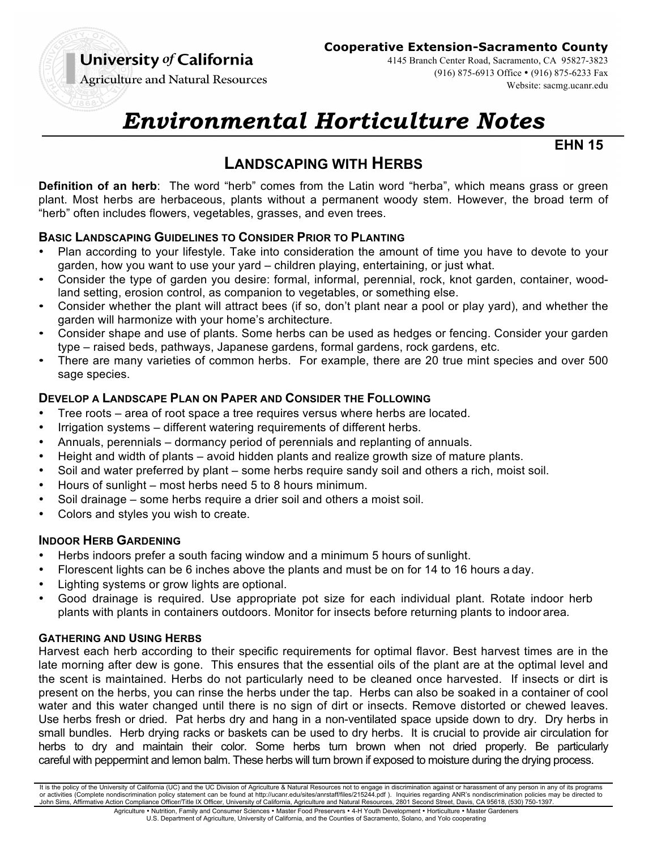## University of California

#### **Cooperative Extension-Sacramento County**

4145 Branch Center Road, Sacramento, CA 95827-3823 (916) 875-6913 Office • (916) 875-6233 Fax Website: sacmg.ucanr.edu

**Agriculture and Natural Resources** 

# *Environmental Horticulture Notes*

**EHN 15** 

## **LANDSCAPING WITH HERBS**

**Definition of an herb**: The word "herb" comes from the Latin word "herba", which means grass or green plant. Most herbs are herbaceous, plants without a permanent woody stem. However, the broad term of "herb" often includes flowers, vegetables, grasses, and even trees.

#### **BASIC LANDSCAPING GUIDELINES TO CONSIDER PRIOR TO PLANTING**

- Plan according to your lifestyle. Take into consideration the amount of time you have to devote to your garden, how you want to use your yard – children playing, entertaining, or just what.
- Consider the type of garden you desire: formal, informal, perennial, rock, knot garden, container, woodland setting, erosion control, as companion to vegetables, or something else.
- Consider whether the plant will attract bees (if so, don't plant near a pool or play yard), and whether the garden will harmonize with your home's architecture.
- Consider shape and use of plants. Some herbs can be used as hedges or fencing. Consider your garden type – raised beds, pathways, Japanese gardens, formal gardens, rock gardens, etc.
- There are many varieties of common herbs. For example, there are 20 true mint species and over 500 sage species.

#### **DEVELOP A LANDSCAPE PLAN ON PAPER AND CONSIDER THE FOLLOWING**

- Tree roots area of root space a tree requires versus where herbs are located.
- Irrigation systems different watering requirements of different herbs.
- Annuals, perennials dormancy period of perennials and replanting of annuals.
- Height and width of plants avoid hidden plants and realize growth size of mature plants.
- Soil and water preferred by plant some herbs require sandy soil and others a rich, moist soil.
- Hours of sunlight most herbs need 5 to 8 hours minimum.
- Soil drainage some herbs require a drier soil and others a moist soil.
- Colors and styles you wish to create.

#### **INDOOR HERB GARDENING**

- Herbs indoors prefer a south facing window and a minimum 5 hours of sunlight.
- Florescent lights can be 6 inches above the plants and must be on for 14 to 16 hours a day.
- Lighting systems or grow lights are optional.
- Good drainage is required. Use appropriate pot size for each individual plant. Rotate indoor herb plants with plants in containers outdoors. Monitor for insects before returning plants to indoor area*.*

#### **GATHERING AND USING HERBS**

Harvest each herb according to their specific requirements for optimal flavor. Best harvest times are in the late morning after dew is gone. This ensures that the essential oils of the plant are at the optimal level and the scent is maintained. Herbs do not particularly need to be cleaned once harvested. If insects or dirt is present on the herbs, you can rinse the herbs under the tap. Herbs can also be soaked in a container of cool water and this water changed until there is no sign of dirt or insects. Remove distorted or chewed leaves. Use herbs fresh or dried. Pat herbs dry and hang in a non-ventilated space upside down to dry. Dry herbs in small bundles. Herb drying racks or baskets can be used to dry herbs. It is crucial to provide air circulation for herbs to dry and maintain their color. Some herbs turn brown when not dried properly. Be particularly careful with peppermint and lemon balm. These herbs will turn brown if exposed to moisture during the drying process.

It is the policy of the University of California (UC) and the UC Division of Agriculture & Natural Resources not to engage in discrimination against or harassment of any person in any of its programs or activities (Complete nondiscrimination policy statement can be found at http://ucanr.edu/sites/anrstaff/files/215244.pdf ). Inquiries regarding ANR's nondiscrimination policies may be directed to John Sims, Affirmative Action Compliance Officer/Title IX Officer, University of California, Agriculture and Natural Resources, 2801 Second Street, Davis, CA 95618, (530) 750-1397. Agriculture • Nutrition, Family and Consumer Sciences • Master Food Preservers • 4-H Youth Development • Horticulture • Master Gardeners